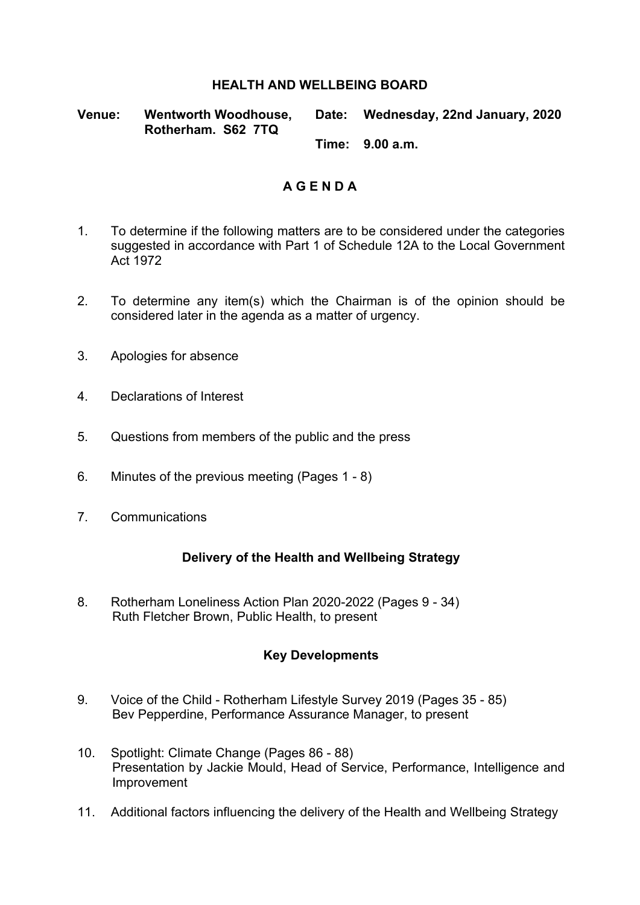#### **HEALTH AND WELLBEING BOARD**

**Venue: Wentworth Woodhouse, Rotherham. S62 7TQ Date: Wednesday, 22nd January, 2020**

**Time: 9.00 a.m.**

# **A G E N D A**

- 1. To determine if the following matters are to be considered under the categories suggested in accordance with Part 1 of Schedule 12A to the Local Government Act 1972
- 2. To determine any item(s) which the Chairman is of the opinion should be considered later in the agenda as a matter of urgency.
- 3. Apologies for absence
- 4. Declarations of Interest
- 5. Questions from members of the public and the press
- 6. Minutes of the previous meeting (Pages 1 8)
- 7. Communications

## **Delivery of the Health and Wellbeing Strategy**

8. Rotherham Loneliness Action Plan 2020-2022 (Pages 9 - 34) Ruth Fletcher Brown, Public Health, to present

## **Key Developments**

- 9. Voice of the Child Rotherham Lifestyle Survey 2019 (Pages 35 85) Bev Pepperdine, Performance Assurance Manager, to present
- 10. Spotlight: Climate Change (Pages 86 88) Presentation by Jackie Mould, Head of Service, Performance, Intelligence and Improvement
- 11. Additional factors influencing the delivery of the Health and Wellbeing Strategy